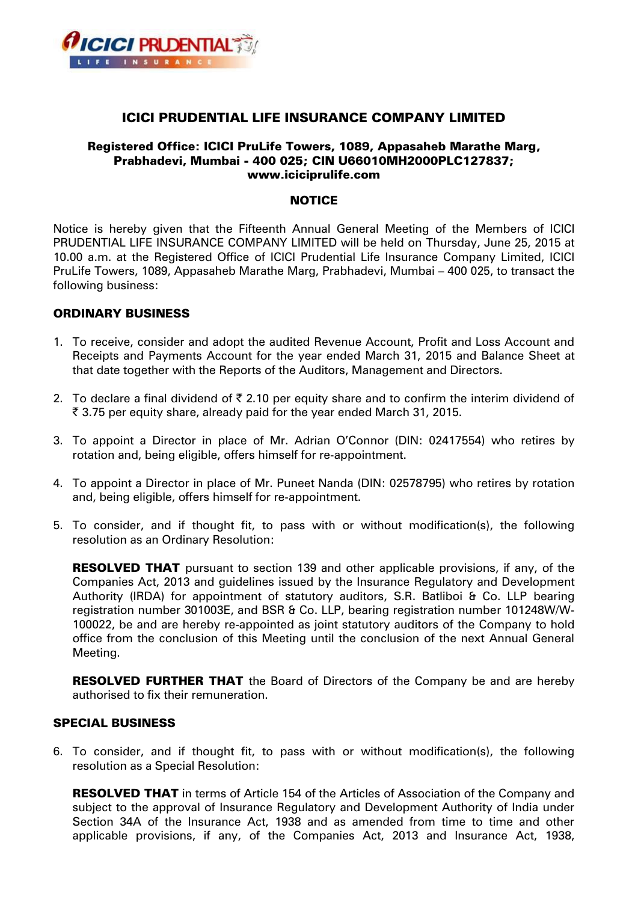

# ICICI PRUDENTIAL LIFE INSURANCE COMPANY LIMITED

## Registered Office: ICICI PruLife Towers, 1089, Appasaheb Marathe Marg, Prabhadevi, Mumbai - 400 025; CIN U66010MH2000PLC127837; www.iciciprulife.com

### **NOTICE**

Notice is hereby given that the Fifteenth Annual General Meeting of the Members of ICICI PRUDENTIAL LIFE INSURANCE COMPANY LIMITED will be held on Thursday, June 25, 2015 at 10.00 a.m. at the Registered Office of ICICI Prudential Life Insurance Company Limited, ICICI PruLife Towers, 1089, Appasaheb Marathe Marg, Prabhadevi, Mumbai – 400 025, to transact the following business:

## ORDINARY BUSINESS

- 1. To receive, consider and adopt the audited Revenue Account, Profit and Loss Account and Receipts and Payments Account for the year ended March 31, 2015 and Balance Sheet at that date together with the Reports of the Auditors, Management and Directors.
- 2. To declare a final dividend of  $\bar{\tau}$  2.10 per equity share and to confirm the interim dividend of ` 3.75 per equity share, already paid for the year ended March 31, 2015.
- 3. To appoint a Director in place of Mr. Adrian O'Connor (DIN: 02417554) who retires by rotation and, being eligible, offers himself for re-appointment.
- 4. To appoint a Director in place of Mr. Puneet Nanda (DIN: 02578795) who retires by rotation and, being eligible, offers himself for re-appointment.
- 5. To consider, and if thought fit, to pass with or without modification(s), the following resolution as an Ordinary Resolution:

**RESOLVED THAT** pursuant to section 139 and other applicable provisions, if any, of the Companies Act, 2013 and guidelines issued by the Insurance Regulatory and Development Authority (IRDA) for appointment of statutory auditors, S.R. Batliboi & Co. LLP bearing registration number 301003E, and BSR & Co. LLP, bearing registration number 101248W/W-100022, be and are hereby re-appointed as joint statutory auditors of the Company to hold office from the conclusion of this Meeting until the conclusion of the next Annual General Meeting.

RESOLVED FURTHER THAT the Board of Directors of the Company be and are hereby authorised to fix their remuneration.

### SPECIAL BUSINESS

6. To consider, and if thought fit, to pass with or without modification(s), the following resolution as a Special Resolution:

**RESOLVED THAT** in terms of Article 154 of the Articles of Association of the Company and subject to the approval of Insurance Regulatory and Development Authority of India under Section 34A of the Insurance Act, 1938 and as amended from time to time and other applicable provisions, if any, of the Companies Act, 2013 and Insurance Act, 1938,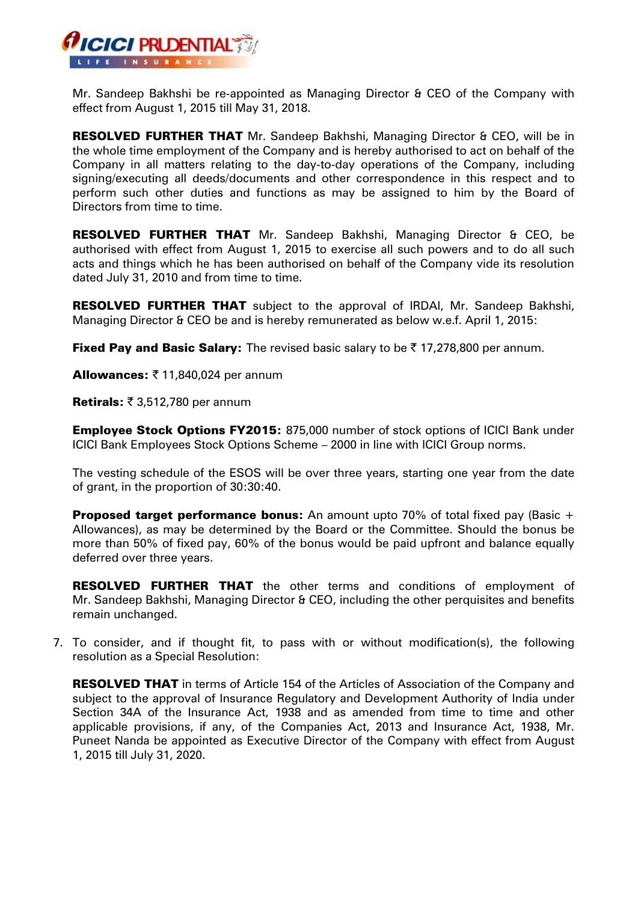

Mr. Sandeep Bakhshi be re-appointed as Managing Director & CEO of the Company with effect from August 1, 2015 till May 31, 2018.

RESOLVED FURTHER THAT Mr. Sandeep Bakhshi, Managing Director & CEO, will be in the whole time employment of the Company and is hereby authorised to act on behalf of the Company in all matters relating to the day-to-day operations of the Company, including signing/executing all deeds/documents and other correspondence in this respect and to perform such other duties and functions as may be assigned to him by the Board of Directors from time to time.

RESOLVED FURTHER THAT Mr. Sandeep Bakhshi, Managing Director & CEO, be authorised with effect from August 1, 2015 to exercise all such powers and to do all such acts and things which he has been authorised on behalf of the Company vide its resolution dated July 31, 2010 and from time to time.

**RESOLVED FURTHER THAT** subject to the approval of IRDAI, Mr. Sandeep Bakhshi, Managing Director & CEO be and is hereby remunerated as below w.e.f. April 1, 2015:

Fixed Pay and Basic Salary: The revised basic salary to be  $\bar{\tau}$  17,278,800 per annum.

Allowances:  $\bar{\tau}$  11,840,024 per annum

Retirals:  $\bar{\tau}$  3,512,780 per annum

**Employee Stock Options FY2015: 875,000 number of stock options of ICICI Bank under** ICICI Bank Employees Stock Options Scheme – 2000 in line with ICICI Group norms.

The vesting schedule of the ESOS will be over three years, starting one year from the date of grant, in the proportion of 30:30:40.

**Proposed target performance bonus:** An amount upto 70% of total fixed pay (Basic  $+$ Allowances), as may be determined by the Board or the Committee. Should the bonus be more than 50% of fixed pay, 60% of the bonus would be paid upfront and balance equally deferred over three years.

**RESOLVED FURTHER THAT** the other terms and conditions of employment of Mr. Sandeep Bakhshi, Managing Director & CEO, including the other perquisites and benefits remain unchanged.

7. To consider, and if thought fit, to pass with or without modification(s), the following resolution as a Special Resolution:

RESOLVED THAT in terms of Article 154 of the Articles of Association of the Company and subject to the approval of Insurance Regulatory and Development Authority of India under Section 34A of the Insurance Act, 1938 and as amended from time to time and other applicable provisions, if any, of the Companies Act, 2013 and Insurance Act, 1938, Mr. Puneet Nanda be appointed as Executive Director of the Company with effect from August 1, 2015 till July 31, 2020.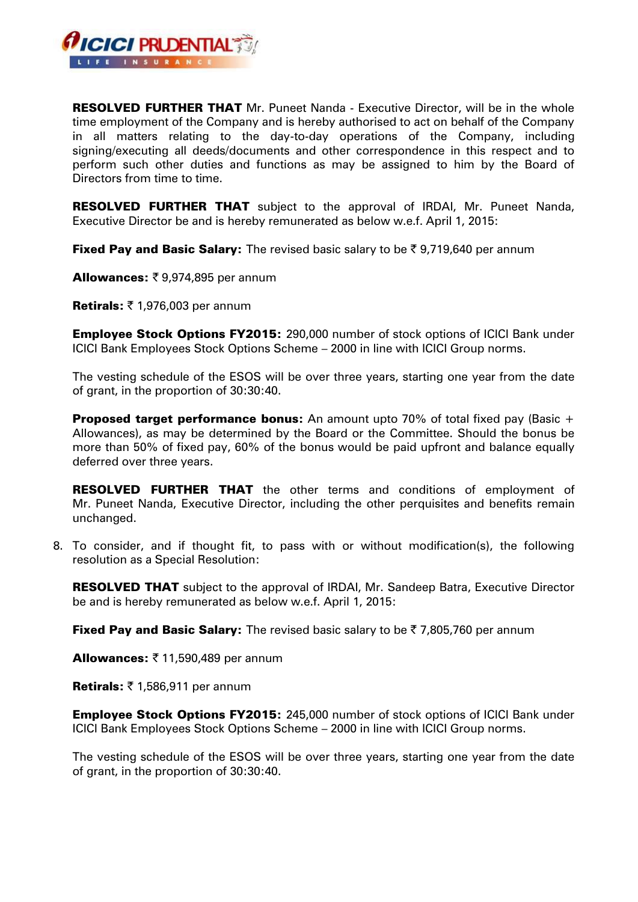

**RESOLVED FURTHER THAT** Mr. Puneet Nanda - Executive Director, will be in the whole time employment of the Company and is hereby authorised to act on behalf of the Company in all matters relating to the day-to-day operations of the Company, including signing/executing all deeds/documents and other correspondence in this respect and to perform such other duties and functions as may be assigned to him by the Board of Directors from time to time.

**RESOLVED FURTHER THAT** subject to the approval of IRDAI, Mr. Puneet Nanda, Executive Director be and is hereby remunerated as below w.e.f. April 1, 2015:

**Fixed Pay and Basic Salary:** The revised basic salary to be  $\bar{\tau}$  9,719,640 per annum

**Allowances: ₹ 9,974,895 per annum** 

Retirals:  $\bar{\tau}$  1,976,003 per annum

**Employee Stock Options FY2015:** 290,000 number of stock options of ICICI Bank under ICICI Bank Employees Stock Options Scheme – 2000 in line with ICICI Group norms.

The vesting schedule of the ESOS will be over three years, starting one year from the date of grant, in the proportion of 30:30:40.

**Proposed target performance bonus:** An amount upto 70% of total fixed pay (Basic  $+$ Allowances), as may be determined by the Board or the Committee. Should the bonus be more than 50% of fixed pay, 60% of the bonus would be paid upfront and balance equally deferred over three years.

**RESOLVED FURTHER THAT** the other terms and conditions of employment of Mr. Puneet Nanda, Executive Director, including the other perquisites and benefits remain unchanged.

8. To consider, and if thought fit, to pass with or without modification(s), the following resolution as a Special Resolution:

RESOLVED THAT subject to the approval of IRDAI, Mr. Sandeep Batra, Executive Director be and is hereby remunerated as below w.e.f. April 1, 2015:

**Fixed Pay and Basic Salary:** The revised basic salary to be  $\bar{\tau}$  7,805,760 per annum

Allowances:  $\bar{z}$  11,590,489 per annum

Retirals:  $\bar{z}$  1,586,911 per annum

**Employee Stock Options FY2015:** 245,000 number of stock options of ICICI Bank under ICICI Bank Employees Stock Options Scheme – 2000 in line with ICICI Group norms.

The vesting schedule of the ESOS will be over three years, starting one year from the date of grant, in the proportion of 30:30:40.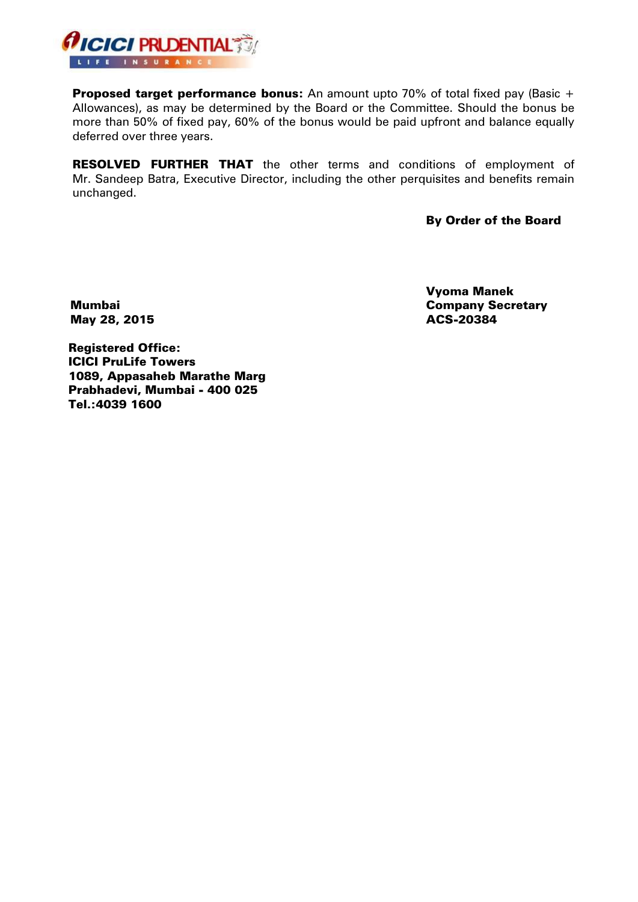

**Proposed target performance bonus:** An amount upto 70% of total fixed pay (Basic  $+$ Allowances), as may be determined by the Board or the Committee. Should the bonus be more than 50% of fixed pay, 60% of the bonus would be paid upfront and balance equally deferred over three years.

RESOLVED FURTHER THAT the other terms and conditions of employment of Mr. Sandeep Batra, Executive Director, including the other perquisites and benefits remain unchanged.

By Order of the Board

Mumbai May 28, 2015

Vyoma Manek Company Secretary ACS-20384

Registered Office: ICICI PruLife Towers 1089, Appasaheb Marathe Marg Prabhadevi, Mumbai - 400 025 Tel.:4039 1600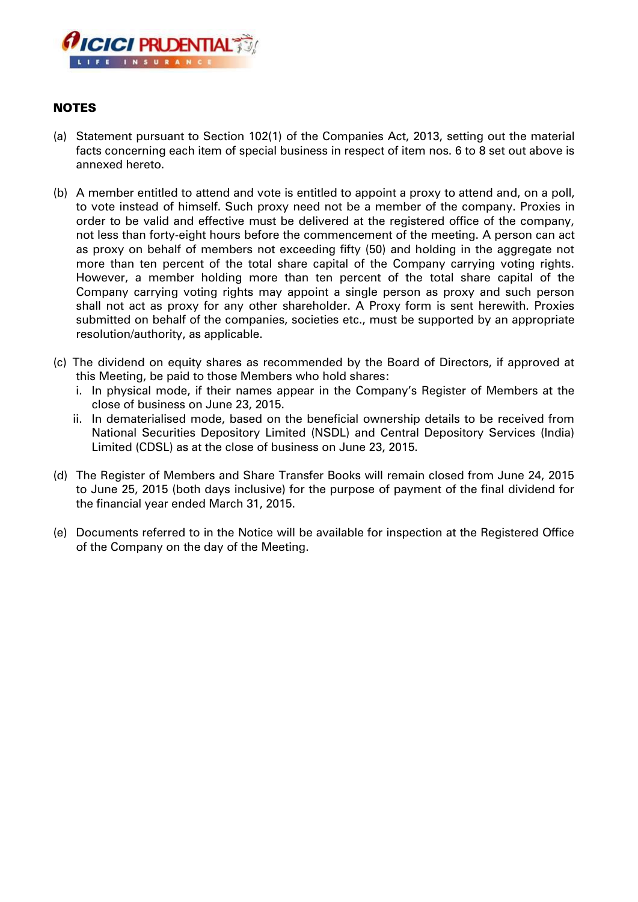

# NOTES

- (a) Statement pursuant to Section 102(1) of the Companies Act, 2013, setting out the material facts concerning each item of special business in respect of item nos. 6 to 8 set out above is annexed hereto.
- (b) A member entitled to attend and vote is entitled to appoint a proxy to attend and, on a poll, to vote instead of himself. Such proxy need not be a member of the company. Proxies in order to be valid and effective must be delivered at the registered office of the company, not less than forty-eight hours before the commencement of the meeting. A person can act as proxy on behalf of members not exceeding fifty (50) and holding in the aggregate not more than ten percent of the total share capital of the Company carrying voting rights. However, a member holding more than ten percent of the total share capital of the Company carrying voting rights may appoint a single person as proxy and such person shall not act as proxy for any other shareholder. A Proxy form is sent herewith. Proxies submitted on behalf of the companies, societies etc., must be supported by an appropriate resolution/authority, as applicable.
- (c) The dividend on equity shares as recommended by the Board of Directors, if approved at this Meeting, be paid to those Members who hold shares:
	- i. In physical mode, if their names appear in the Company's Register of Members at the close of business on June 23, 2015.
	- ii. In dematerialised mode, based on the beneficial ownership details to be received from National Securities Depository Limited (NSDL) and Central Depository Services (India) Limited (CDSL) as at the close of business on June 23, 2015.
- (d) The Register of Members and Share Transfer Books will remain closed from June 24, 2015 to June 25, 2015 (both days inclusive) for the purpose of payment of the final dividend for the financial year ended March 31, 2015.
- (e) Documents referred to in the Notice will be available for inspection at the Registered Office of the Company on the day of the Meeting.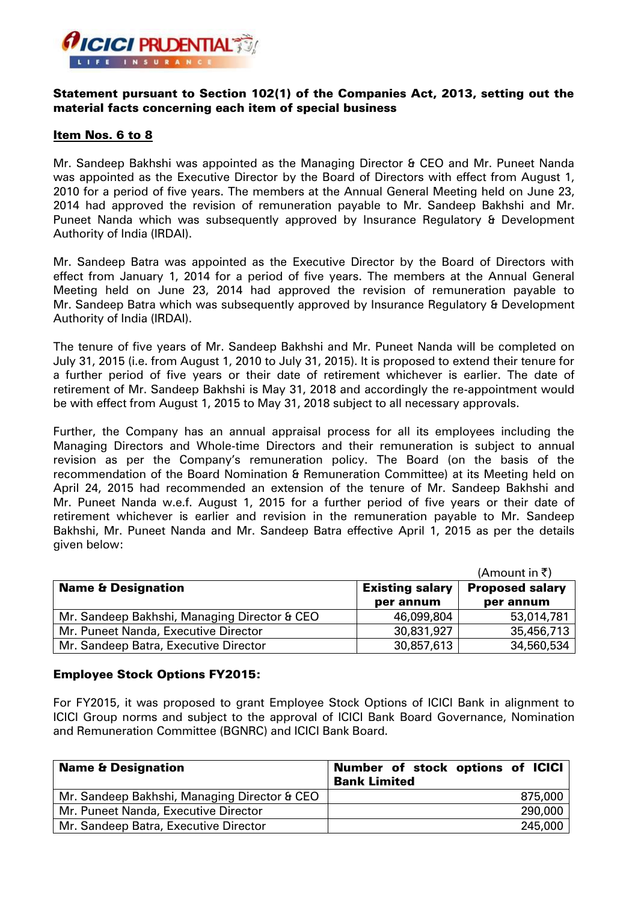

## Statement pursuant to Section 102(1) of the Companies Act, 2013, setting out the material facts concerning each item of special business

## Item Nos. 6 to 8

Mr. Sandeep Bakhshi was appointed as the Managing Director & CEO and Mr. Puneet Nanda was appointed as the Executive Director by the Board of Directors with effect from August 1, 2010 for a period of five years. The members at the Annual General Meeting held on June 23, 2014 had approved the revision of remuneration payable to Mr. Sandeep Bakhshi and Mr. Puneet Nanda which was subsequently approved by Insurance Regulatory & Development Authority of India (IRDAI).

Mr. Sandeep Batra was appointed as the Executive Director by the Board of Directors with effect from January 1, 2014 for a period of five years. The members at the Annual General Meeting held on June 23, 2014 had approved the revision of remuneration payable to Mr. Sandeep Batra which was subsequently approved by Insurance Regulatory & Development Authority of India (IRDAI).

The tenure of five years of Mr. Sandeep Bakhshi and Mr. Puneet Nanda will be completed on July 31, 2015 (i.e. from August 1, 2010 to July 31, 2015). It is proposed to extend their tenure for a further period of five years or their date of retirement whichever is earlier. The date of retirement of Mr. Sandeep Bakhshi is May 31, 2018 and accordingly the re-appointment would be with effect from August 1, 2015 to May 31, 2018 subject to all necessary approvals.

Further, the Company has an annual appraisal process for all its employees including the Managing Directors and Whole-time Directors and their remuneration is subject to annual revision as per the Company's remuneration policy. The Board (on the basis of the recommendation of the Board Nomination & Remuneration Committee) at its Meeting held on April 24, 2015 had recommended an extension of the tenure of Mr. Sandeep Bakhshi and Mr. Puneet Nanda w.e.f. August 1, 2015 for a further period of five years or their date of retirement whichever is earlier and revision in the remuneration payable to Mr. Sandeep Bakhshi, Mr. Puneet Nanda and Mr. Sandeep Batra effective April 1, 2015 as per the details given below:

|                                              |                        | (Amount in ₹)          |
|----------------------------------------------|------------------------|------------------------|
| <b>Name &amp; Designation</b>                | <b>Existing salary</b> | <b>Proposed salary</b> |
|                                              | per annum              | per annum              |
| Mr. Sandeep Bakhshi, Managing Director & CEO | 46,099,804             | 53,014,781             |
| Mr. Puneet Nanda, Executive Director         | 30,831,927             | 35,456,713             |
| Mr. Sandeep Batra, Executive Director        | 30,857,613             | 34,560,534             |

## Employee Stock Options FY2015:

For FY2015, it was proposed to grant Employee Stock Options of ICICI Bank in alignment to ICICI Group norms and subject to the approval of ICICI Bank Board Governance, Nomination and Remuneration Committee (BGNRC) and ICICI Bank Board.

| <b>Name &amp; Designation</b>                | Number of stock options of ICICI<br><b>Bank Limited</b> |
|----------------------------------------------|---------------------------------------------------------|
| Mr. Sandeep Bakhshi, Managing Director & CEO | 875,000                                                 |
| Mr. Puneet Nanda, Executive Director         | 290,000                                                 |
| Mr. Sandeep Batra, Executive Director        | 245,000                                                 |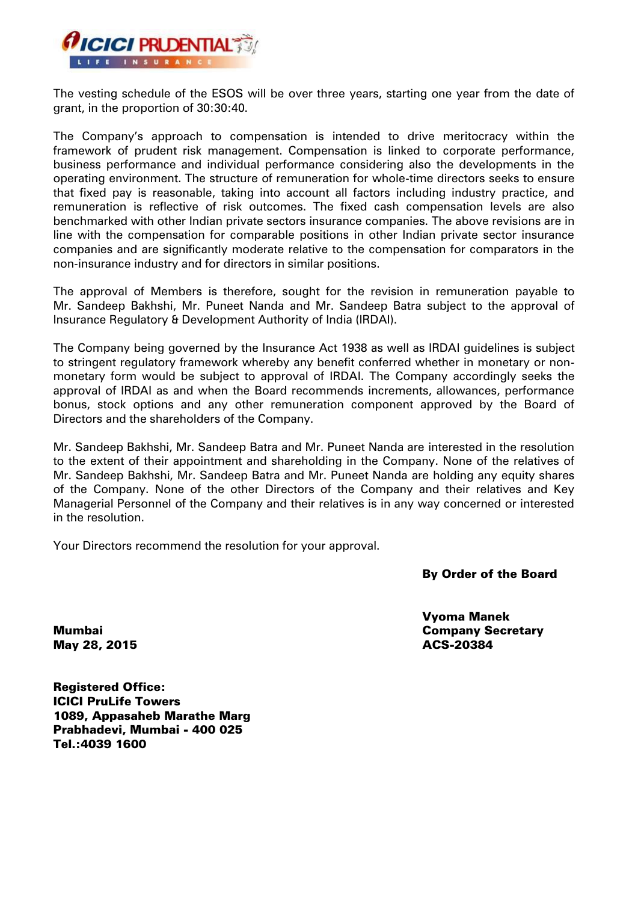

The vesting schedule of the ESOS will be over three years, starting one year from the date of grant, in the proportion of 30:30:40.

The Company's approach to compensation is intended to drive meritocracy within the framework of prudent risk management. Compensation is linked to corporate performance, business performance and individual performance considering also the developments in the operating environment. The structure of remuneration for whole-time directors seeks to ensure that fixed pay is reasonable, taking into account all factors including industry practice, and remuneration is reflective of risk outcomes. The fixed cash compensation levels are also benchmarked with other Indian private sectors insurance companies. The above revisions are in line with the compensation for comparable positions in other Indian private sector insurance companies and are significantly moderate relative to the compensation for comparators in the non-insurance industry and for directors in similar positions.

The approval of Members is therefore, sought for the revision in remuneration payable to Mr. Sandeep Bakhshi, Mr. Puneet Nanda and Mr. Sandeep Batra subject to the approval of Insurance Regulatory & Development Authority of India (IRDAI).

The Company being governed by the Insurance Act 1938 as well as IRDAI guidelines is subject to stringent regulatory framework whereby any benefit conferred whether in monetary or nonmonetary form would be subject to approval of IRDAI. The Company accordingly seeks the approval of IRDAI as and when the Board recommends increments, allowances, performance bonus, stock options and any other remuneration component approved by the Board of Directors and the shareholders of the Company.

Mr. Sandeep Bakhshi, Mr. Sandeep Batra and Mr. Puneet Nanda are interested in the resolution to the extent of their appointment and shareholding in the Company. None of the relatives of Mr. Sandeep Bakhshi, Mr. Sandeep Batra and Mr. Puneet Nanda are holding any equity shares of the Company. None of the other Directors of the Company and their relatives and Key Managerial Personnel of the Company and their relatives is in any way concerned or interested in the resolution.

Your Directors recommend the resolution for your approval.

## By Order of the Board

Vyoma Manek Company Secretary ACS-20384

Mumbai May 28, 2015

Registered Office: ICICI PruLife Towers 1089, Appasaheb Marathe Marg Prabhadevi, Mumbai - 400 025 Tel.:4039 1600